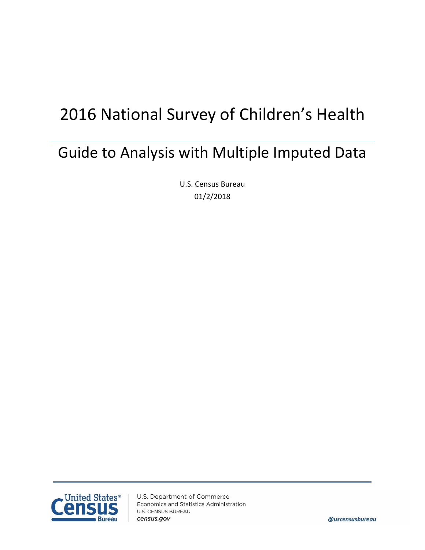# 2016 National Survey of Children's Health

# Guide to Analysis with Multiple Imputed Data

U.S. Census Bureau 01/2/2018

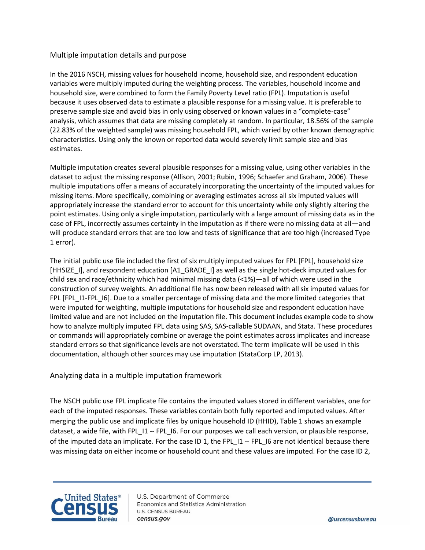#### Multiple imputation details and purpose

In the 2016 NSCH, missing values for household income, household size, and respondent education variables were multiply imputed during the weighting process. The variables, household income and household size, were combined to form the Family Poverty Level ratio (FPL). Imputation is useful because it uses observed data to estimate a plausible response for a missing value. It is preferable to preserve sample size and avoid bias in only using observed or known values in a "complete-case" analysis, which assumes that data are missing completely at random. In particular, 18.56% of the sample (22.83% of the weighted sample) was missing household FPL, which varied by other known demographic characteristics. Using only the known or reported data would severely limit sample size and bias estimates.

Multiple imputation creates several plausible responses for a missing value, using other variables in the dataset to adjust the missing response (Allison, 2001; Rubin, 1996; Schaefer and Graham, 2006). These multiple imputations offer a means of accurately incorporating the uncertainty of the imputed values for missing items. More specifically, combining or averaging estimates across all six imputed values will appropriately increase the standard error to account for this uncertainty while only slightly altering the point estimates. Using only a single imputation, particularly with a large amount of missing data as in the case of FPL, incorrectly assumes certainty in the imputation as if there were no missing data at all—and will produce standard errors that are too low and tests of significance that are too high (increased Type 1 error).

The initial public use file included the first of six multiply imputed values for FPL [FPL], household size [HHSIZE I], and respondent education [A1\_GRADE I] as well as the single hot-deck imputed values for child sex and race/ethnicity which had minimal missing data (<1%)—all of which were used in the construction of survey weights. An additional file has now been released with all six imputed values for FPL [FPL\_I1-FPL\_I6]. Due to a smaller percentage of missing data and the more limited categories that were imputed for weighting, multiple imputations for household size and respondent education have limited value and are not included on the imputation file. This document includes example code to show how to analyze multiply imputed FPL data using SAS, SAS-callable SUDAAN, and Stata. These procedures or commands will appropriately combine or average the point estimates across implicates and increase standard errors so that significance levels are not overstated. The term implicate will be used in this documentation, although other sources may use imputation (StataCorp LP, 2013).

## Analyzing data in a multiple imputation framework

The NSCH public use FPL implicate file contains the imputed values stored in different variables, one for each of the imputed responses. These variables contain both fully reported and imputed values. After merging the public use and implicate files by unique household ID (HHID), Table 1 shows an example dataset, a wide file, with FPL\_I1 -- FPL\_I6. For our purposes we call each version, or plausible response, of the imputed data an implicate. For the case ID 1, the FPL\_I1 -- FPL\_I6 are not identical because there was missing data on either income or household count and these values are imputed. For the case ID 2,



U.S. Department of Commerce Economics and Statistics Administration **U.S. CENSUS BUREAU** census.gov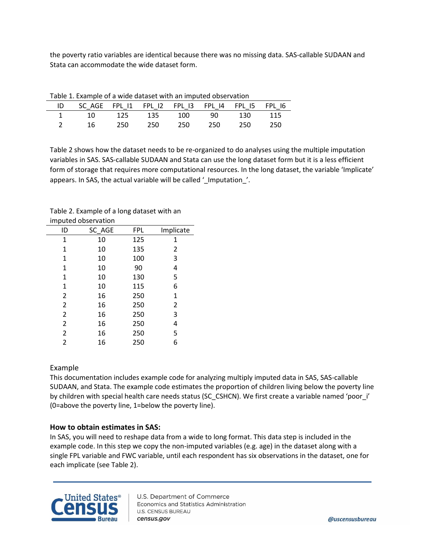the poverty ratio variables are identical because there was no missing data. SAS-callable SUDAAN and Stata can accommodate the wide dataset form.

| <b>Table 1: Example of a wide dataset with an impated observation</b> |           |     |             |     |         |            |       |
|-----------------------------------------------------------------------|-----------|-----|-------------|-----|---------|------------|-------|
|                                                                       |           |     |             |     |         |            |       |
|                                                                       | $\sim$ 10 |     | 125 135 100 |     |         | 90 130 115 |       |
|                                                                       | 16        | 250 | 250         | 250 | 250 250 |            | - 250 |
|                                                                       |           |     |             |     |         |            |       |

Table 1. Example of a wide dataset with an imputed observation

Table 2 shows how the dataset needs to be re-organized to do analyses using the multiple imputation variables in SAS. SAS-callable SUDAAN and Stata can use the long dataset form but it is a less efficient form of storage that requires more computational resources. In the long dataset, the variable 'Implicate' appears. In SAS, the actual variable will be called '\_Imputation\_'.

| imputed observation |        |            |           |  |  |  |
|---------------------|--------|------------|-----------|--|--|--|
| ID                  | SC AGE | <b>FPL</b> | Implicate |  |  |  |
| 1                   | 10     | 125        | 1         |  |  |  |
| 1                   | 10     | 135        | 2         |  |  |  |
| 1                   | 10     | 100        | 3         |  |  |  |
| 1                   | 10     | 90         | 4         |  |  |  |
| 1                   | 10     | 130        | 5         |  |  |  |
| 1                   | 10     | 115        | 6         |  |  |  |
| $\overline{2}$      | 16     | 250        | 1         |  |  |  |
| $\overline{2}$      | 16     | 250        | 2         |  |  |  |
| $\overline{2}$      | 16     | 250        | 3         |  |  |  |
| 2                   | 16     | 250        | 4         |  |  |  |
| 2                   | 16     | 250        | 5         |  |  |  |

2 16 250 6

Table 2. Example of a long dataset with an

## Example

This documentation includes example code for analyzing multiply imputed data in SAS, SAS-callable SUDAAN, and Stata. The example code estimates the proportion of children living below the poverty line by children with special health care needs status (SC\_CSHCN). We first create a variable named 'poor\_i' (0=above the poverty line, 1=below the poverty line).

#### **How to obtain estimates in SAS:**

In SAS, you will need to reshape data from a wide to long format. This data step is included in the example code. In this step we copy the non-imputed variables (e.g. age) in the dataset along with a single FPL variable and FWC variable, until each respondent has six observations in the dataset, one for each implicate (see Table 2).

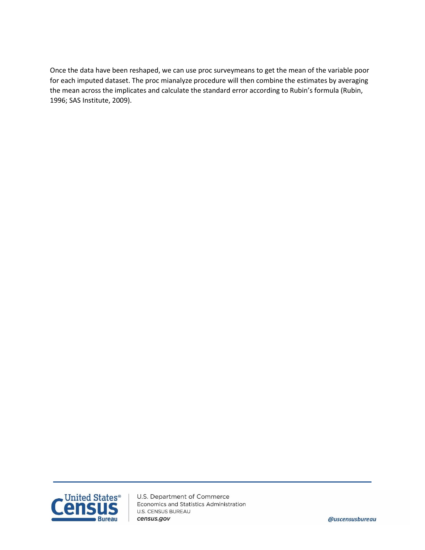Once the data have been reshaped, we can use proc surveymeans to get the mean of the variable poor for each imputed dataset. The proc mianalyze procedure will then combine the estimates by averaging the mean across the implicates and calculate the standard error according to Rubin's formula (Rubin, 1996; SAS Institute, 2009).



U.S. Department of Commerce Economics and Statistics Administration **U.S. CENSUS BUREAU** census.gov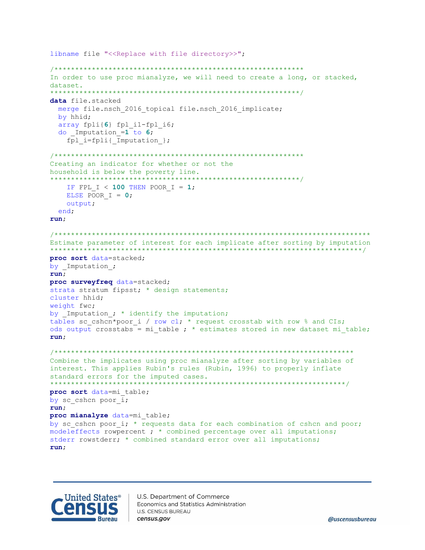```
libname file "<<Replace with file directory>>";
In order to use proc mianalyze, we will need to create a long, or stacked,
dataset.
data file.stacked
 merge file.nsch 2016 topical file.nsch 2016 implicate;
 by hhid;
 array fpli{6} fpl i1-fpl i6;
 do Imputation =1 to 6;
   fpl i=fpli{ Imputation };
Creating an indicator for whether or not the
household is below the poverty line.
                           *************************/
******************************
   IF FPL I < 100 THEN POOR I = 1;
  ELSE POOR I = 0;
  output;
 end;
run:Estimate parameter of interest for each implicate after sorting by imputation
proc sort data=stacked;
by Imputation ;
run;proc surveyfreq data=stacked;
strata stratum fipsst; * design statements;
cluster hhid;
weight fwc;
by Imputation ; * identify the imputation;
tables sc cshcn*poor i / row cl; * request crosstab with row % and CIs;
ods output crosstabs = mi table ; * estimates stored in new dataset mi table;
run;Combine the implicates using proc mianalyze after sorting by variables of
interest. This applies Rubin's rules (Rubin, 1996) to properly inflate
standard errors for the imputed cases.
                   ***********
proc sort data=mi table;
by sc cshcn poor i;
run:proc mianalyze data=mi table;
by sc cshcn poor i; * requests data for each combination of cshcn and poor;
modeleffects rowpercent ; * combined percentage over all imputations;
stderr rowstderr; * combined standard error over all imputations;
run;
```
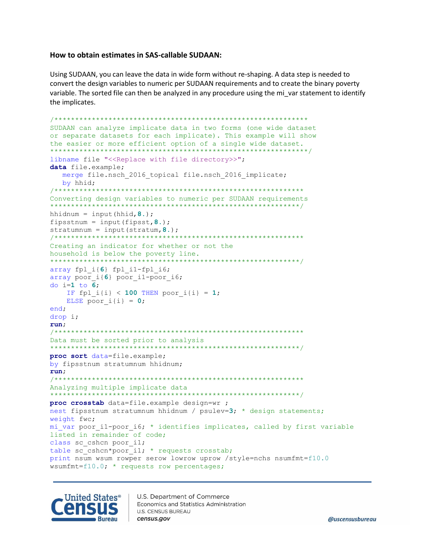#### How to obtain estimates in SAS-callable SUDAAN:

Using SUDAAN, you can leave the data in wide form without re-shaping. A data step is needed to convert the design variables to numeric per SUDAAN requirements and to create the binary poverty variable. The sorted file can then be analyzed in any procedure using the mi var statement to identify the implicates.

```
SUDAAN can analyze implicate data in two forms (one wide dataset
or separate datasets for each implicate). This example will show
the easier or more efficient option of a single wide dataset.
***********************************
libname file "<<Replace with file directory>>";
data file.example;
  merge file.nsch 2016 topical file.nsch 2016 implicate;
  by hhid;
7*********Converting design variables to numeric per SUDAAN requirements
hhidnum = input (hhid, 8.);
fipsstnum = input (fipsst, 8.);stratumnum = input (stratum, 8.);
                          *****************************
/******************************
Creating an indicator for whether or not the
household is below the poverty line.
                         array fpl i{6} fpl i1-fpl i6;
array poor i{6} poor_i{1-poor_i}do i=1 to 6;
   IF fpl i{i} < 100 THEN poor i{i} = 1;
   ELSE poor i(i) = 0;
end;
drop i;
run;Data must be sorted prior to analysis
                        *************
proc sort data=file.example;
by fipsstnum stratumnum hhidnum;
run;
Analyzing multiple implicate data
********************************
                          ******************************
proc crosstab data=file.example design=wr ;
nest fipsstnum stratumnum hhidnum / psulev=3; * design statements;
weight fwc;
mi var poor il-poor i6; * identifies implicates, called by first variable
listed in remainder of code;
class sc cshcn poor il;
table sc cshcn*poor i1; * requests crosstab;
print nsum wsum rowper serow lowrow uprow /style=nchs nsumfmt=f10.0
wsumfmt=f10.0; \star requests row percentages;
```
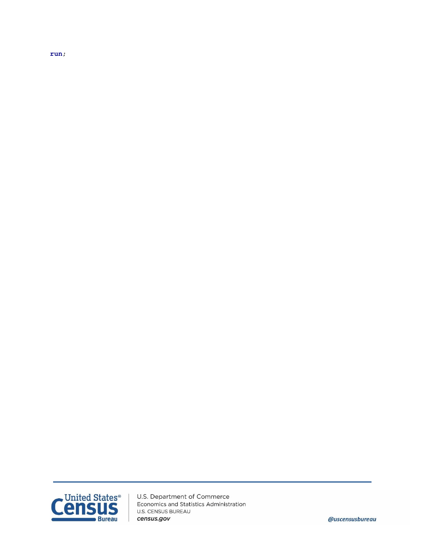$run;$ 



U.S. Department of Commerce Economics and Statistics Administration **U.S. CENSUS BUREAU** census.gov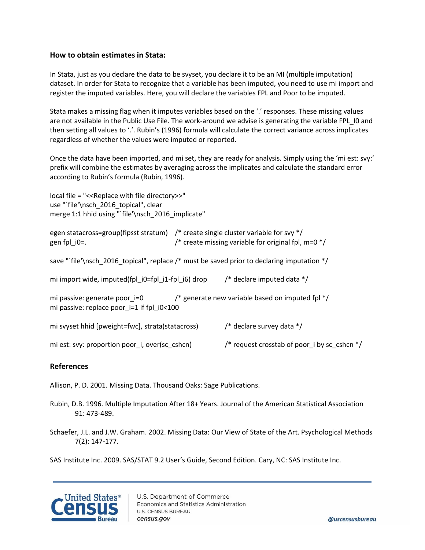#### **How to obtain estimates in Stata:**

In Stata, just as you declare the data to be svyset, you declare it to be an MI (multiple imputation) dataset. In order for Stata to recognize that a variable has been imputed, you need to use mi import and register the imputed variables. Here, you will declare the variables FPL and Poor to be imputed.

Stata makes a missing flag when it imputes variables based on the '.' responses. These missing values are not available in the Public Use File. The work-around we advise is generating the variable FPL\_I0 and then setting all values to '.'. Rubin's (1996) formula will calculate the correct variance across implicates regardless of whether the values were imputed or reported.

Once the data have been imported, and mi set, they are ready for analysis. Simply using the 'mi est: svy:' prefix will combine the estimates by averaging across the implicates and calculate the standard error according to Rubin's formula (Rubin, 1996).

| local file = "<< Replace with file directory>>"<br>use "'file'\nsch 2016 topical", clear<br>merge 1:1 hhid using "`file'\nsch_2016_implicate" |                                              |                                                                                                                                                     |  |  |  |  |  |
|-----------------------------------------------------------------------------------------------------------------------------------------------|----------------------------------------------|-----------------------------------------------------------------------------------------------------------------------------------------------------|--|--|--|--|--|
| gen fpl $i0=$ .                                                                                                                               |                                              | egen statacross=group(fipsst stratum) $\prime$ * create single cluster variable for svy */<br>/* create missing variable for original fpl, m=0 $*/$ |  |  |  |  |  |
| save "'file'\nsch_2016_topical", replace /* must be saved prior to declaring imputation */                                                    |                                              |                                                                                                                                                     |  |  |  |  |  |
| mi import wide, imputed(fpl i0=fpl i1-fpl i6) drop $\frac{1}{2}$ declare imputed data $\frac{1}{2}$                                           |                                              |                                                                                                                                                     |  |  |  |  |  |
| mi passive: generate poor_i=0 $\frac{1}{2}$ generate new variable based on imputed fpl */<br>mi passive: replace poor $i=1$ if fpl $i0<100$   |                                              |                                                                                                                                                     |  |  |  |  |  |
| mi svyset hhid [pweight=fwc], strata(statacross)                                                                                              | /* declare survey data $*/$                  |                                                                                                                                                     |  |  |  |  |  |
| mi est: svy: proportion poor i, over(sc cshcn)                                                                                                | /* request crosstab of poor i by sc_cshcn */ |                                                                                                                                                     |  |  |  |  |  |

## **References**

Allison, P. D. 2001. Missing Data. Thousand Oaks: Sage Publications.

Rubin, D.B. 1996. Multiple Imputation After 18+ Years. Journal of the American Statistical Association 91: 473-489.

Schaefer, J.L. and J.W. Graham. 2002. Missing Data: Our View of State of the Art. Psychological Methods 7(2): 147-177.

SAS Institute Inc. 2009. SAS/STAT 9.2 User's Guide, Second Edition. Cary, NC: SAS Institute Inc.